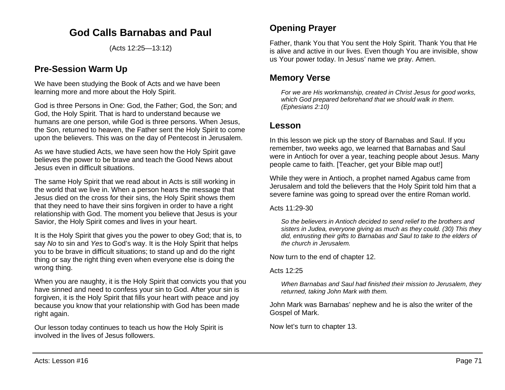# **God Calls Barnabas and Paul**

(Acts 12:25—13:12)

## **Pre-Session Warm Up**

We have been studying the Book of Acts and we have been learning more and more about the Holy Spirit.

God is three Persons in One: God, the Father; God, the Son; and God, the Holy Spirit. That is hard to understand because we humans are one person, while God is three persons. When Jesus, the Son, returned to heaven, the Father sent the Holy Spirit to come upon the believers. This was on the day of Pentecost in Jerusalem.

As we have studied Acts, we have seen how the Holy Spirit gave believes the power to be brave and teach the Good News about Jesus even in difficult situations.

The same Holy Spirit that we read about in Acts is still working in the world that we live in. When a person hears the message that Jesus died on the cross for their sins, the Holy Spirit shows them that they need to have their sins forgiven in order to have a right relationship with God. The moment you believe that Jesus is your Savior, the Holy Spirit comes and lives in your heart.

It is the Holy Spirit that gives you the power to obey God; that is, to say *No* to sin and *Yes* to God's way. It is the Holy Spirit that helps you to be brave in difficult situations; to stand up and do the right thing or say the right thing even when everyone else is doing the wrong thing.

When you are naughty, it is the Holy Spirit that convicts you that you have sinned and need to confess your sin to God. After your sin is forgiven, it is the Holy Spirit that fills your heart with peace and joy because you know that your relationship with God has been made right again.

Our lesson today continues to teach us how the Holy Spirit is involved in the lives of Jesus followers.

## **Opening Prayer**

Father, thank You that You sent the Holy Spirit. Thank You that He is alive and active in our lives. Even though You are invisible, show us Your power today. In Jesus' name we pray. Amen.

## **Memory Verse**

*For we are His workmanship, created in Christ Jesus for good works, which God prepared beforehand that we should walk in them. (Ephesians 2:10)*

### **Lesson**

In this lesson we pick up the story of Barnabas and Saul. If you remember, two weeks ago, we learned that Barnabas and Saul were in Antioch for over a year, teaching people about Jesus. Many people came to faith. [Teacher, get your Bible map out!]

While they were in Antioch, a prophet named Agabus came from Jerusalem and told the believers that the Holy Spirit told him that a severe famine was going to spread over the entire Roman world.

Acts 11:29-30

*So the believers in Antioch decided to send relief to the brothers and sisters in Judea, everyone giving as much as they could. (30) This they did, entrusting their gifts to Barnabas and Saul to take to the elders of the church in Jerusalem.*

Now turn to the end of chapter 12.

Acts 12:25

*When Barnabas and Saul had finished their mission to Jerusalem, they returned, taking John Mark with them.*

John Mark was Barnabas' nephew and he is also the writer of the Gospel of Mark.

Now let's turn to chapter 13.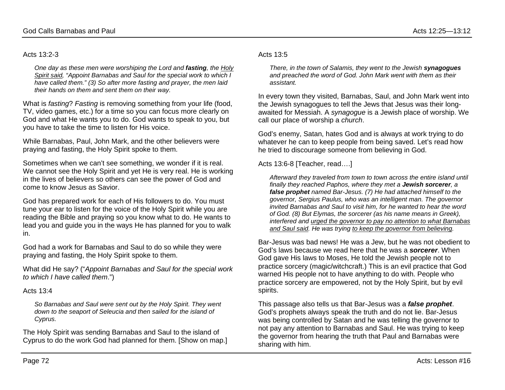#### Acts 13:2-3

*One day as these men were worshiping the Lord and fasting, the Holy Spirit said, "Appoint Barnabas and Saul for the special work to which I have called them." (3) So after more fasting and prayer, the men laid their hands on them and sent them on their way.*

What is *fasting*? *Fasting* is removing something from your life (food, TV, video games, etc.) for a time so you can focus more clearly on God and what He wants you to do. God wants to speak to you, but you have to take the time to listen for His voice.

While Barnabas, Paul, John Mark, and the other believers were praying and fasting, the Holy Spirit spoke to them.

Sometimes when we can't see something, we wonder if it is real. We cannot see the Holy Spirit and yet He is very real. He is working in the lives of believers so others can see the power of God and come to know Jesus as Savior.

God has prepared work for each of His followers to do. You must tune your ear to listen for the voice of the Holy Spirit while you are reading the Bible and praying so you know what to do. He wants to lead you and guide you in the ways He has planned for you to walk in.

God had a work for Barnabas and Saul to do so while they were praying and fasting, the Holy Spirit spoke to them.

What did He say? ("*Appoint Barnabas and Saul for the special work to which I have called them*.")

Acts 13:4

*So Barnabas and Saul were sent out by the Holy Spirit. They went down to the seaport of Seleucia and then sailed for the island of Cyprus.*

The Holy Spirit was sending Barnabas and Saul to the island of Cyprus to do the work God had planned for them. [Show on map.]

#### Acts 13:5

*There, in the town of Salamis, they went to the Jewish synagogues and preached the word of God. John Mark went with them as their assistant.*

In every town they visited, Barnabas, Saul, and John Mark went into the Jewish synagogues to tell the Jews that Jesus was their longawaited for Messiah. A *synagogue* is a Jewish place of worship. We call our place of worship a *church*.

God's enemy, Satan, hates God and is always at work trying to do whatever he can to keep people from being saved. Let's read how he tried to discourage someone from believing in God.

Acts 13:6-8 [Teacher, read….]

*Afterward they traveled from town to town across the entire island until finally they reached Paphos, where they met a Jewish sorcerer, a false prophet named Bar-Jesus. (7) He had attached himself to the governor, Sergius Paulus, who was an intelligent man. The governor invited Barnabas and Saul to visit him, for he wanted to hear the word of God. (8) But Elymas, the sorcerer (as his name means in Greek), interfered and urged the governor to pay no attention to what Barnabas and Saul said. He was trying to keep the governor from believing.*

Bar-Jesus was bad news! He was a Jew, but he was not obedient to God's laws because we read here that he was a *sorcerer*. When God gave His laws to Moses, He told the Jewish people not to practice sorcery (magic/witchcraft.) This is an evil practice that God warned His people not to have anything to do with. People who practice sorcery are empowered, not by the Holy Spirit, but by evil spirits.

This passage also tells us that Bar-Jesus was a *false prophet*. God's prophets always speak the truth and do not lie. Bar-Jesus was being controlled by Satan and he was telling the governor to not pay any attention to Barnabas and Saul. He was trying to keep the governor from hearing the truth that Paul and Barnabas were sharing with him.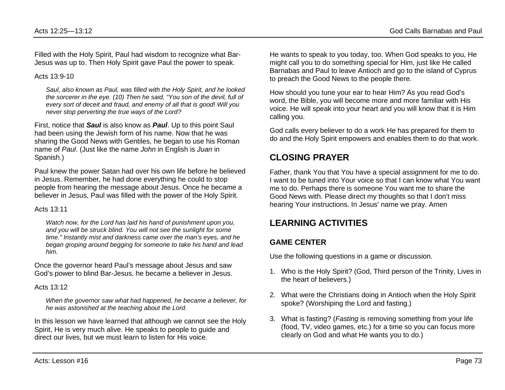Filled with the Holy Spirit, Paul had wisdom to recognize what Bar-Jesus was up to. Then Holy Spirit gave Paul the power to speak.

#### Acts 13:9-10

*Saul, also known as Paul, was filled with the Holy Spirit, and he looked the sorcerer in the eye. (10) Then he said, "You son of the devil, full of every sort of deceit and fraud, and enemy of all that is good! Will you never stop perverting the true ways of the Lord?*

First, notice that *Saul* is also know as *Paul*. Up to this point Saul had been using the Jewish form of his name. Now that he was sharing the Good News with Gentiles, he began to use his Roman name of *Paul*. (Just like the name *John* in English is *Juan* in Spanish.)

Paul knew the power Satan had over his own life before he believed in Jesus. Remember, he had done everything he could to stop people from hearing the message about Jesus. Once he became a believer in Jesus, Paul was filled with the power of the Holy Spirit.

#### Acts 13:11

*Watch now, for the Lord has laid his hand of punishment upon you, and you will be struck blind. You will not see the sunlight for some time." Instantly mist and darkness came over the man's eyes, and he began groping around begging for someone to take his hand and lead him.*

Once the governor heard Paul's message about Jesus and saw God's power to blind Bar-Jesus, he became a believer in Jesus.

#### Acts  $13:12$

*When the governor saw what had happened, he became a believer, for he was astonished at the teaching about the Lord.*

In this lesson we have learned that although we cannot see the Holy Spirit, He is very much alive. He speaks to people to guide and direct our lives, but we must learn to listen for His voice.

He wants to speak to you today, too. When God speaks to you, He might call you to do something special for Him, just like He called Barnabas and Paul to leave Antioch and go to the island of Cyprus to preach the Good News to the people there.

How should you tune your ear to hear Him? As you read God's word, the Bible, you will become more and more familiar with His voice. He will speak into your heart and you will know that it is Him calling you.

God calls every believer to do a work He has prepared for them to do and the Holy Spirit empowers and enables them to do that work.

# **CLOSING PRAYER**

Father, thank You that You have a special assignment for me to do. I want to be tuned into Your voice so that I can know what You want me to do. Perhaps there is someone You want me to share the Good News with. Please direct my thoughts so that I don't miss hearing Your instructions. In Jesus' name we pray. Amen

# **LEARNING ACTIVITIES**

### **GAME CENTER**

Use the following questions in a game or discussion.

- 1. Who is the Holy Spirit? (God, Third person of the Trinity, Lives in the heart of believers.)
- 2. What were the Christians doing in Antioch when the Holy Spirit spoke? (Worshiping the Lord and fasting.)
- 3. What is fasting? (*Fasting* is removing something from your life (food, TV, video games, etc.) for a time so you can focus more clearly on God and what He wants you to do.)